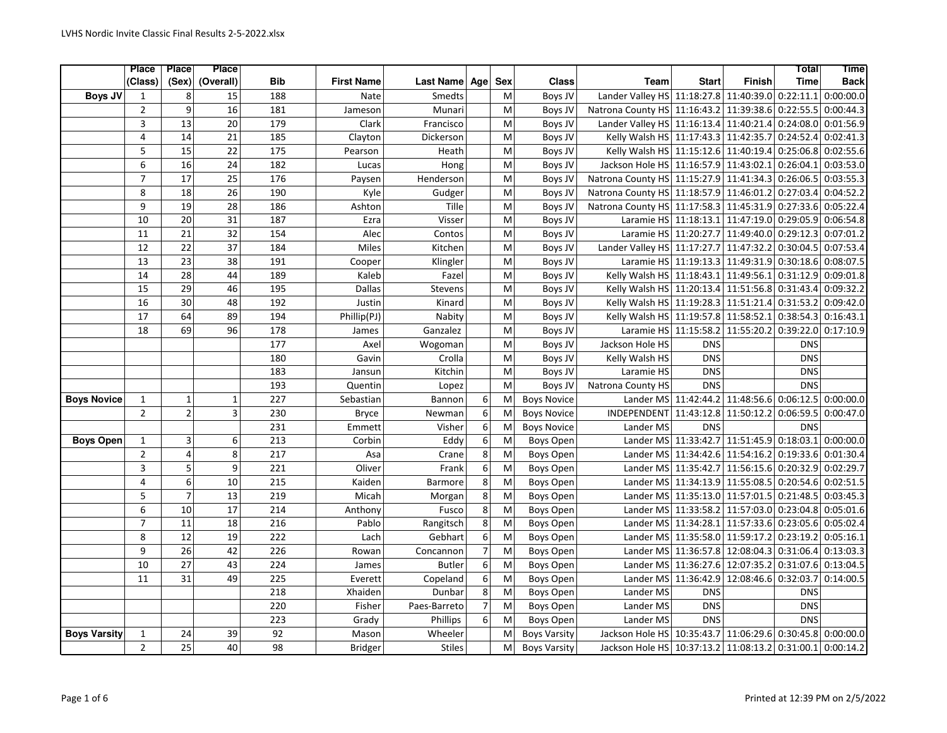|                     | Place           | Place                   | <b>Place</b>    |     |                   |                  |                |            |                     |                                                   |                                            |                      | <b>Total</b> | <b>Time</b> |
|---------------------|-----------------|-------------------------|-----------------|-----|-------------------|------------------|----------------|------------|---------------------|---------------------------------------------------|--------------------------------------------|----------------------|--------------|-------------|
|                     | (Class)         | (Sex)                   | (Overall)       | Bib | <b>First Name</b> | <b>Last Name</b> | Age            | <b>Sex</b> | <b>Class</b>        | <b>Team</b>                                       | <b>Start</b>                               | <b>Finish</b>        | <b>Time</b>  | <b>Back</b> |
| <b>Boys JV</b>      | 1               | 8                       | 15              | 188 | Nate              | Smedts           |                | M          | Boys JV             | Lander Valley HS 11:18:27.8 11:40:39.0            |                                            |                      | 0:22:11.1    | 0:00:00.0   |
|                     | $\overline{2}$  | 9                       | 16              | 181 | Jameson           | Munari           |                | M          | Boys JV             | Natrona County HS 11:16:43.2 11:39:38.6           |                                            |                      | 0:22:55.5    | 0:00:44.3   |
|                     | $\overline{3}$  | 13                      | 20              | 179 | Clark             | Francisco        |                | M          | Boys JV             | Lander Valley HS 11:16:13.4 11:40:21.4            |                                            |                      | 0:24:08.0    | 0:01:56.9   |
|                     | 4               | 14                      | 21              | 185 | Clayton           | Dickerson        |                | M          | Boys JV             | Kelly Walsh HS 11:17:43.3 11:42:35.7              |                                            |                      | 0:24:52.4    | 0:02:41.3   |
|                     | 5               | 15                      | 22              | 175 | Pearson           | Heath            |                | M          | Boys JV             | Kelly Walsh HS 11:15:12.6 11:40:19.4              |                                            |                      | 0:25:06.8    | 0:02:55.6   |
|                     | 6               | $\overline{16}$         | $\overline{24}$ | 182 | Lucas             | Hong             |                | M          | Boys JV             | Jackson Hole HS 11:16:57.9 11:43:02.1 0:26:04.1   |                                            |                      |              | 0:03:53.0   |
|                     | $\overline{7}$  | $\overline{17}$         | $\overline{25}$ | 176 | Paysen            | Henderson        |                | M          | Boys JV             | Natrona County HS 11:15:27.9 11:41:34.3 0:26:06.5 |                                            |                      |              | 0:03:55.3   |
|                     | 8               | 18                      | 26              | 190 | Kyle              | Gudger           |                | M          | Boys JV             | Natrona County HS 11:18:57.9 11:46:01.2           |                                            |                      | 0:27:03.4    | 0:04:52.2   |
|                     | 9               | 19                      | 28              | 186 | Ashton            | Tille            |                | M          | Boys JV             | Natrona County HS 11:17:58.3 11:45:31.9 0:27:33.6 |                                            |                      |              | 0:05:22.4   |
|                     | 10              | $\overline{20}$         | $\overline{31}$ | 187 | Ezra              | Visser           |                | M          | Boys JV             | Laramie HS 11:18:13.1 11:47:19.0 0:29:05.9        |                                            |                      |              | 0:06:54.8   |
|                     | 11              | 21                      | 32              | 154 | Alec              | Contos           |                | M          | Boys JV             | Laramie HS 11:20:27.7 11:49:40.0 0:29:12.3        |                                            |                      |              | 0:07:01.2   |
|                     | 12              | 22                      | 37              | 184 | Miles             | Kitchen          |                | M          | Boys JV             | Lander Valley HS 11:17:27.7 11:47:32.2            |                                            |                      | 0:30:04.5    | 0:07:53.4   |
|                     | $\overline{13}$ | $\overline{23}$         | $\overline{38}$ | 191 | Cooper            | Klingler         |                | M          | Boys JV             |                                                   | Laramie HS 11:19:13.3 11:49:31.9 0:30:18.6 |                      |              | 0:08:07.5   |
|                     | 14              | $\overline{28}$         | 44              | 189 | Kaleb             | Fazel            |                | M          | Boys JV             | Kelly Walsh HS 11:18:43.1 11:49:56.1 0:31:12.9    |                                            |                      |              | 0:09:01.8   |
|                     | 15              | 29                      | 46              | 195 | <b>Dallas</b>     | <b>Stevens</b>   |                | M          | Boys JV             | Kelly Walsh HS 11:20:13.4 11:51:56.8 0:31:43.4    |                                            |                      |              | 0:09:32.2   |
|                     | 16              | 30                      | 48              | 192 | Justin            | Kinard           |                | M          | Boys JV             | Kelly Walsh HS 11:19:28.3 11:51:21.4              |                                            |                      | 0:31:53.2    | 0:09:42.0   |
|                     | 17              | 64                      | 89              | 194 | Phillip(PJ)       | Nabity           |                | M          | Boys JV             | Kelly Walsh HS 11:19:57.8 11:58:52.1 0:38:54.3    |                                            |                      |              | 0:16:43.1   |
|                     | 18              | 69                      | 96              | 178 | James             | Ganzalez         |                | M          | Boys JV             |                                                   | Laramie HS 11:15:58.2                      | 11:55:20.2           | 0:39:22.0    | 0:17:10.9   |
|                     |                 |                         |                 | 177 | Axel              | Wogoman          |                | M          | Boys JV             | Jackson Hole HS                                   | <b>DNS</b>                                 |                      | <b>DNS</b>   |             |
|                     |                 |                         |                 | 180 | Gavin             | Crolla           |                | M          | Boys JV             | Kelly Walsh HS                                    | <b>DNS</b>                                 |                      | <b>DNS</b>   |             |
|                     |                 |                         |                 | 183 | Jansun            | Kitchin          |                | M          | Boys JV             | Laramie HS                                        | <b>DNS</b>                                 |                      | <b>DNS</b>   |             |
|                     |                 |                         |                 | 193 | Quentin           | Lopez            |                | M          | Boys JV             | <b>Natrona County HS</b>                          | <b>DNS</b>                                 |                      | <b>DNS</b>   |             |
| <b>Boys Novice</b>  | 1               | $\mathbf{1}$            | $\mathbf{1}$    | 227 | Sebastian         | Bannon           | 6              | M          | <b>Boys Novice</b>  |                                                   | Lander MS 11:42:44.2 11:48:56.6            |                      | 0:06:12.5    | 0:00:00.0   |
|                     | $\overline{2}$  | $\overline{2}$          | $\overline{3}$  | 230 | <b>Bryce</b>      | Newman           | 6              | M          | <b>Boys Novice</b>  | INDEPENDENT                                       | 11:43:12.8                                 | 11:50:12.2           | 0:06:59.5    | 0:00:47.0   |
|                     |                 |                         |                 | 231 | Emmett            | Visher           | 6              | M          | <b>Boys Novice</b>  | Lander MS                                         | <b>DNS</b>                                 |                      | <b>DNS</b>   |             |
| <b>Boys Open</b>    | $\mathbf{1}$    | 3                       | 6               | 213 | Corbin            | Eddy             | 6              | M          | <b>Boys Open</b>    |                                                   | Lander MS 11:33:42.7 11:51:45.9 0:18:03.1  |                      |              | 0:00:00.0   |
|                     | $\overline{2}$  | $\overline{\mathbf{4}}$ | 8               | 217 | Asa               | Crane            | 8              | M          | <b>Boys Open</b>    |                                                   | Lander MS 11:34:42.6 11:54:16.2            |                      | 0:19:33.6    | 0:01:30.4   |
|                     | 3               | $\overline{5}$          | 9               | 221 | Oliver            | Frank            | 6              | M          | <b>Boys Open</b>    |                                                   | Lander MS 11:35:42.7 11:56:15.6 0:20:32.9  |                      |              | 0:02:29.7   |
|                     | $\overline{4}$  | $\overline{6}$          | 10              | 215 | Kaiden            | Barmore          | 8              | M          | <b>Boys Open</b>    |                                                   | Lander MS 11:34:13.9 11:55:08.5 0:20:54.6  |                      |              | 0:02:51.5   |
|                     | 5               | $\overline{7}$          | 13              | 219 | Micah             | Morgan           | 8              | M          | <b>Boys Open</b>    |                                                   | Lander MS 11:35:13.0 11:57:01.5            |                      | 0:21:48.5    | 0:03:45.3   |
|                     | 6               | 10                      | $\overline{17}$ | 214 | Anthony           | Fusco            | 8              | M          | Boys Open           |                                                   | Lander MS 11:33:58.2 11:57:03.0 0:23:04.8  |                      |              | 0:05:01.6   |
|                     | $\overline{7}$  | $\overline{11}$         | $\overline{18}$ | 216 | Pablo             | Rangitsch        | $\overline{8}$ | M          | <b>Boys Open</b>    |                                                   | Lander MS 11:34:28.1 11:57:33.6            |                      | 0:23:05.6    | 0:05:02.4   |
|                     | 8               | 12                      | 19              | 222 | Lach              | Gebhart          | 6              | M          | <b>Boys Open</b>    |                                                   | Lander MS 11:35:58.0 11:59:17.2            |                      | 0:23:19.2    | 0:05:16.1   |
|                     | 9               | $\overline{26}$         | 42              | 226 | Rowan             | Concannon        | $\overline{7}$ | M          | <b>Boys Open</b>    |                                                   | Lander MS 11:36:57.8 12:08:04.3            |                      | 0:31:06.4    | 0:13:03.3   |
|                     | 10              | $\overline{27}$         | 43              | 224 | James             | <b>Butler</b>    | 6              | M          | <b>Boys Open</b>    |                                                   | Lander MS 11:36:27.6 12:07:35.2 0:31:07.6  |                      |              | 0:13:04.5   |
|                     | 11              | 31                      | 49              | 225 | Everett           | Copeland         | 6              | M          | <b>Boys Open</b>    |                                                   | Lander MS 11:36:42.9                       | 12:08:46.6 0:32:03.7 |              | 0:14:00.5   |
|                     |                 |                         |                 | 218 | Xhaiden           | Dunbar           | 8              | M          | <b>Boys Open</b>    | Lander MS                                         | <b>DNS</b>                                 |                      | <b>DNS</b>   |             |
|                     |                 |                         |                 | 220 | Fisher            | Paes-Barreto     | $\overline{7}$ | M          | Boys Open           | Lander MS                                         | <b>DNS</b>                                 |                      | DN5          |             |
|                     |                 |                         |                 | 223 | Grady             | Phillips         | 6              | M          | Boys Open           | Lander MS                                         | <b>DNS</b>                                 |                      | <b>DNS</b>   |             |
| <b>Boys Varsity</b> | $\mathbf{1}$    | 24                      | 39              | 92  | Mason             | Wheeler          |                | M          | <b>Boys Varsity</b> | Jackson Hole HS 10:35:43.7                        |                                            | 11:06:29.6           | 0:30:45.8    | 0:00:00.0   |
|                     | $\overline{2}$  | $\overline{25}$         | 40              | 98  | <b>Bridger</b>    | <b>Stiles</b>    |                | M          | <b>Boys Varsity</b> | Jackson Hole HS 10:37:13.2 11:08:13.2 0:31:00.1   |                                            |                      |              | 0:00:14.2   |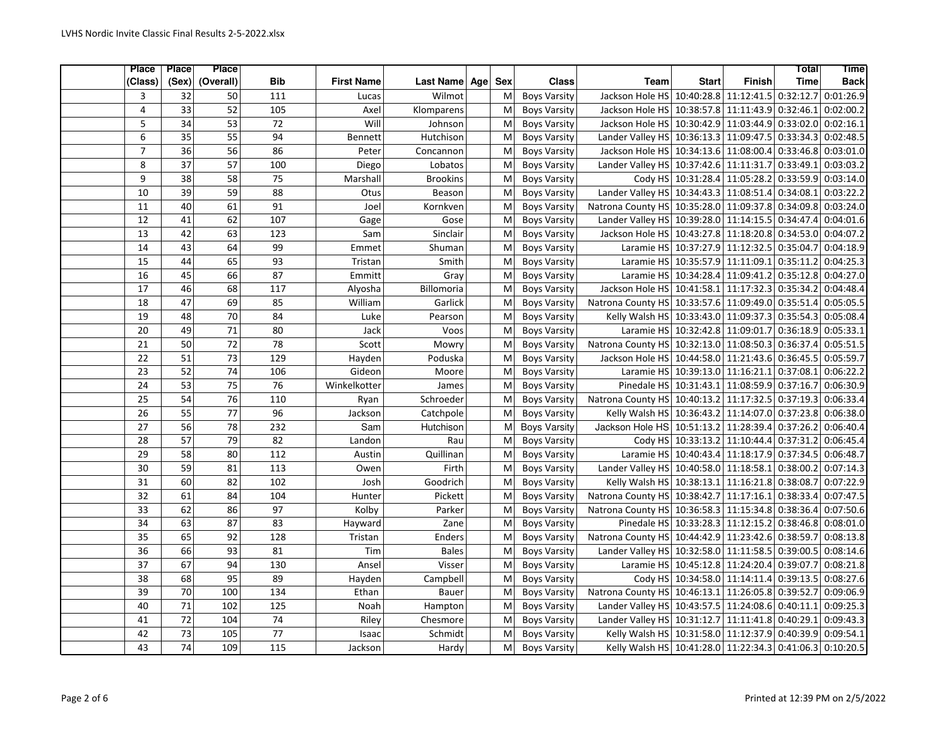| Place           | <b>Place</b>    | <b>Place</b>    |                 |                   |                  |     |            |                     |                                                          |                                            |                       | Total       | <b>Time</b> |
|-----------------|-----------------|-----------------|-----------------|-------------------|------------------|-----|------------|---------------------|----------------------------------------------------------|--------------------------------------------|-----------------------|-------------|-------------|
| (Class)         | (Sex)           | (Overall)       | <b>Bib</b>      | <b>First Name</b> | <b>Last Name</b> | Age | <b>Sex</b> | <b>Class</b>        | Team                                                     | <b>Start</b>                               | <b>Finish</b>         | <b>Time</b> | <b>Back</b> |
| 3               | 32              | 50              | 111             | Lucas             | Wilmot           |     | M          | <b>Boys Varsity</b> | Jackson Hole HS                                          |                                            | 10:40:28.8 11:12:41.5 | 0:32:12.7   | 0:01:26.9   |
| $\overline{4}$  | $\overline{33}$ | 52              | 105             | Axel              | Klomparens       |     | M          | <b>Boys Varsity</b> | Jackson Hole HS 10:38:57.8 11:11:43.9 0:32:46.1          |                                            |                       |             | 0:02:00.2   |
| 5               | $\overline{34}$ | $\overline{53}$ | 72              | Will              | Johnson          |     | M          | <b>Boys Varsity</b> | Jackson Hole HS 10:30:42.9 11:03:44.9 0:33:02.0          |                                            |                       |             | 0:02:16.1   |
| 6               | 35              | 55              | 94              | Bennett           | Hutchison        |     | M          | <b>Boys Varsity</b> | Lander Valley HS 10:36:13.3 11:09:47.5 0:33:34.3         |                                            |                       |             | 0:02:48.5   |
| $\overline{7}$  | 36              | 56              | 86              | Peter             | Concannon        |     | M          | <b>Boys Varsity</b> | Jackson Hole HS 10:34:13.6 11:08:00.4 0:33:46.8          |                                            |                       |             | 0:03:01.0   |
| 8               | $\overline{37}$ | 57              | 100             | Diego             | Lobatos          |     | M          | <b>Boys Varsity</b> | Lander Valley HS 10:37:42.6 11:11:31.7 0:33:49.1         |                                            |                       |             | 0:03:03.2   |
| 9               | $\overline{38}$ | 58              | 75              | Marshall          | <b>Brookins</b>  |     | M          | <b>Boys Varsity</b> |                                                          | Cody HS 10:31:28.4 11:05:28.2 0:33:59.9    |                       |             | 0:03:14.0   |
| 10              | 39              | 59              | 88              | Otus              | Beason           |     | M          | <b>Boys Varsity</b> | Lander Valley HS  10:34:43.3  11:08:51.4  0:34:08.1      |                                            |                       |             | 0:03:22.2   |
| 11              | 40              | 61              | 91              | Joel              | Kornkven         |     | M          | <b>Boys Varsity</b> | Natrona County HS 10:35:28.0 11:09:37.8 0:34:09.8        |                                            |                       |             | 0:03:24.0   |
| 12              | 41              | 62              | 107             | Gage              | Gose             |     | M          | <b>Boys Varsity</b> | Lander Valley HS 10:39:28.0 11:14:15.5 0:34:47.4         |                                            |                       |             | 0:04:01.6   |
| 13              | 42              | 63              | 123             | Sam               | Sinclair         |     | M          | <b>Boys Varsity</b> | Jackson Hole HS 10:43:27.8 11:18:20.8 0:34:53.0          |                                            |                       |             | 0:04:07.2   |
| 14              | 43              | 64              | 99              | Emmet             | Shuman           |     | M          | <b>Boys Varsity</b> | Laramie HS 10:37:27.9 11:12:32.5 0:35:04.7               |                                            |                       |             | 0:04:18.9   |
| 15              | 44              | 65              | 93              | Tristan           | Smith            |     | M          | <b>Boys Varsity</b> |                                                          | Laramie HS 10:35:57.9 11:11:09.1 0:35:11.2 |                       |             | 0:04:25.3   |
| 16              | 45              | 66              | $\overline{87}$ | Emmitt            | Gray             |     | M          | <b>Boys Varsity</b> |                                                          | Laramie HS 10:34:28.4 11:09:41.2 0:35:12.8 |                       |             | 0:04:27.0   |
| 17              | 46              | 68              | 117             | Alyosha           | Billomoria       |     | M          | <b>Boys Varsity</b> | Jackson Hole HS 10:41:58.1 11:17:32.3 0:35:34.2          |                                            |                       |             | 0:04:48.4   |
| 18              | 47              | 69              | 85              | William           | Garlick          |     | M          | <b>Boys Varsity</b> | Natrona County HS 10:33:57.6 11:09:49.0 0:35:51.4        |                                            |                       |             | 0:05:05.5   |
| 19              | 48              | $\overline{70}$ | 84              | Luke              | Pearson          |     | M          | <b>Boys Varsity</b> | Kelly Walsh HS 10:33:43.0 11:09:37.3 0:35:54.3           |                                            |                       |             | 0:05:08.4   |
| 20              | 49              | $\overline{71}$ | 80              | Jack              | Voos             |     | M          | <b>Boys Varsity</b> |                                                          | Laramie HS 10:32:42.8 11:09:01.7 0:36:18.9 |                       |             | 0:05:33.1   |
| 21              | 50              | 72              | 78              | Scott             | Mowry            |     | M          | <b>Boys Varsity</b> | Natrona County HS 10:32:13.0 11:08:50.3 0:36:37.4        |                                            |                       |             | 0:05:51.5   |
| 22              | 51              | 73              | 129             | Hayden            | Poduska          |     | M          | <b>Boys Varsity</b> | Jackson Hole HS 10:44:58.0 11:21:43.6 0:36:45.5          |                                            |                       |             | 0:05:59.7   |
| 23              | 52              | $\overline{74}$ | 106             | Gideon            | Moore            |     | M          | <b>Boys Varsity</b> | Laramie HS 10:39:13.0 11:16:21.1 0:37:08.1               |                                            |                       |             | 0:06:22.2   |
| 24              | 53              | 75              | $\overline{76}$ | Winkelkotter      | James            |     | M          | <b>Boys Varsity</b> | Pinedale HS 10:31:43.1 11:08:59.9 0:37:16.7              |                                            |                       |             | 0:06:30.9   |
| 25              | 54              | 76              | 110             | Ryan              | Schroeder        |     | M          | <b>Boys Varsity</b> | Natrona County HS 10:40:13.2 11:17:32.5 0:37:19.3        |                                            |                       |             | 0:06:33.4   |
| 26              | $\overline{55}$ | $\overline{77}$ | 96              | Jackson           | Catchpole        |     | M          | <b>Boys Varsity</b> | Kelly Walsh HS 10:36:43.2 11:14:07.0 0:37:23.8           |                                            |                       |             | 0:06:38.0   |
| $\overline{27}$ | $\overline{56}$ | $\overline{78}$ | 232             | Sam               | Hutchison        |     | M          | <b>Boys Varsity</b> | Jackson Hole HS 10:51:13.2 11:28:39.4 0:37:26.2          |                                            |                       |             | 0:06:40.4   |
| 28              | $\overline{57}$ | 79              | 82              | Landon            | Rau              |     | M          | <b>Boys Varsity</b> |                                                          | Cody HS 10:33:13.2 11:10:44.4 0:37:31.2    |                       |             | 0:06:45.4   |
| 29              | 58              | 80              | 112             | Austin            | Quillinan        |     | M          | <b>Boys Varsity</b> |                                                          | Laramie HS 10:40:43.4 11:18:17.9 0:37:34.5 |                       |             | 0:06:48.7   |
| 30              | 59              | 81              | 113             | Owen              | Firth            |     | M          | <b>Boys Varsity</b> | Lander Valley HS 10:40:58.0 11:18:58.1 0:38:00.2         |                                            |                       |             | 0:07:14.3   |
| 31              | 60              | 82              | 102             | Josh              | Goodrich         |     | M          | <b>Boys Varsity</b> | Kelly Walsh HS 10:38:13.1 11:16:21.8 0:38:08.7           |                                            |                       |             | 0:07:22.9   |
| 32              | 61              | 84              | 104             | Hunter            | Pickett          |     | M          | <b>Boys Varsity</b> | Natrona County HS 10:38:42.7                             |                                            | 11:17:16.1            | 0:38:33.4   | 0:07:47.5   |
| 33              | 62              | 86              | $\overline{97}$ | Kolby             | Parker           |     | M          | <b>Boys Varsity</b> | Natrona County HS 10:36:58.3 11:15:34.8 0:38:36.4        |                                            |                       |             | 0:07:50.6   |
| $\overline{34}$ | 63              | 87              | $\overline{83}$ | Hayward           | Zane             |     | M          | <b>Boys Varsity</b> | Pinedale HS 10:33:28.3 11:12:15.2 0:38:46.8              |                                            |                       |             | 0:08:01.0   |
| 35              | 65              | 92              | 128             | Tristan           | Enders           |     | M          | <b>Boys Varsity</b> | Natrona County HS 10:44:42.9 11:23:42.6 0:38:59.7        |                                            |                       |             | 0:08:13.8   |
| 36              | 66              | $\overline{93}$ | 81              | Tim               | <b>Bales</b>     |     | M          | <b>Boys Varsity</b> | Lander Valley HS 10:32:58.0 11:11:58.5 0:39:00.5         |                                            |                       |             | 0:08:14.6   |
| 37              | 67              | 94              | 130             | Ansel             | Visser           |     | M          | <b>Boys Varsity</b> |                                                          | Laramie HS 10:45:12.8 11:24:20.4 0:39:07.7 |                       |             | 0:08:21.8   |
| 38              | 68              | $\overline{95}$ | 89              | Hayden            | Campbell         |     | M          | <b>Boys Varsity</b> |                                                          | Cody HS 10:34:58.0 11:14:11.4 0:39:13.5    |                       |             | 0:08:27.6   |
| 39              | 70              | 100             | 134             | Ethan             | <b>Bauer</b>     |     | M          | <b>Boys Varsity</b> | Natrona County HS 10:46:13.1 11:26:05.8 0:39:52.7        |                                            |                       |             | 0:09:06.9   |
| 40              | $\overline{71}$ | 102             | 125             | Noah              | Hampton          |     | M          | <b>Boys Varsity</b> | Lander Valley HS 10:43:57.5 11:24:08.6 0:40:11.1         |                                            |                       |             | 0:09:25.3   |
| 41              | $\overline{72}$ | 104             | $\overline{74}$ | Riley             | Chesmore         |     | M          | <b>Boys Varsity</b> | Lander Valley HS 10:31:12.7 11:11:41.8 0:40:29.1         |                                            |                       |             | 0:09:43.3   |
| 42              | $\overline{73}$ | 105             | $\overline{77}$ | Isaac             | Schmidt          |     | M          | <b>Boys Varsity</b> | Kelly Walsh HS 10:31:58.0 11:12:37.9 0:40:39.9           |                                            |                       |             | 0:09:54.1   |
| 43              | 74              | 109             | 115             | Jackson           | Hardy            |     | M          | <b>Boys Varsity</b> | Kelly Walsh HS 10:41:28.0 11:22:34.3 0:41:06.3 0:10:20.5 |                                            |                       |             |             |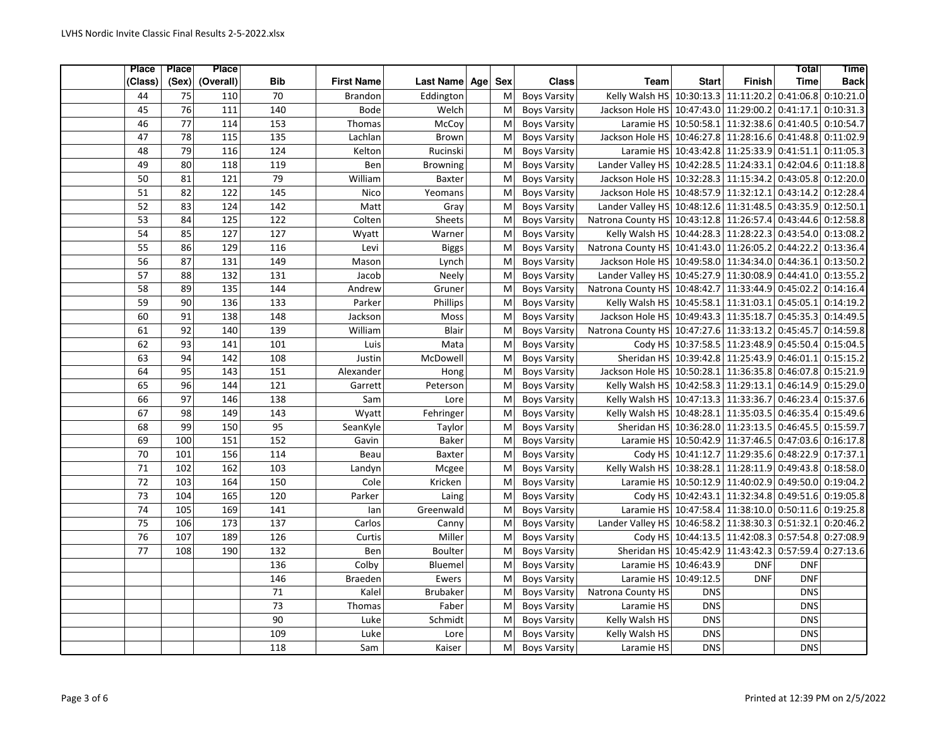| Place           | Place           | <b>Place</b>     |                 |                   |                  |                   |                     |                                                            |              |                                            | Total       | <b>Time</b> |
|-----------------|-----------------|------------------|-----------------|-------------------|------------------|-------------------|---------------------|------------------------------------------------------------|--------------|--------------------------------------------|-------------|-------------|
| (Class)         | (Sex)           | (Overall)        | Bib             | <b>First Name</b> | <b>Last Name</b> | <b>Sex</b><br>Age | <b>Class</b>        | <b>Team</b>                                                | <b>Start</b> | <b>Finish</b>                              | <b>Time</b> | <b>Back</b> |
| 44              | 75              | 110              | 70              | <b>Brandon</b>    | Eddington        | M                 | <b>Boys Varsity</b> | Kelly Walsh HS 10:30:13.3 11:11:20.2                       |              |                                            | 0:41:06.8   | 0:10:21.0   |
| 45              | $\overline{76}$ | 111              | 140             | <b>Bode</b>       | Welch            | M                 | <b>Boys Varsity</b> | Jackson Hole HS 10:47:43.0 11:29:00.2 0:41:17.1            |              |                                            |             | 0:10:31.3   |
| 46              | 77              | 114              | 153             | Thomas            | McCoy            | M                 | <b>Boys Varsity</b> |                                                            |              | Laramie HS 10:50:58.1 11:32:38.6 0:41:40.5 |             | 0:10:54.7   |
| 47              | 78              | 115              | 135             | Lachlan           | <b>Brown</b>     | M                 | <b>Boys Varsity</b> | Jackson Hole HS 10:46:27.8 11:28:16.6 0:41:48.8            |              |                                            |             | 0:11:02.9   |
| 48              | 79              | 116              | 124             | Kelton            | Rucinski         | M                 | <b>Boys Varsity</b> | Laramie HS 10:43:42.8 11:25:33.9 0:41:51.1                 |              |                                            |             | 0:11:05.3   |
| 49              | 80              | 118              | 119             | Ben               | <b>Browning</b>  | M                 | <b>Boys Varsity</b> | Lander Valley HS 10:42:28.5 11:24:33.1 0:42:04.6 0:11:18.8 |              |                                            |             |             |
| 50              | 81              | 121              | $\overline{79}$ | William           | Baxter           | M                 | <b>Boys Varsity</b> | Jackson Hole HS 10:32:28.3 11:15:34.2 0:43:05.8            |              |                                            |             | 0:12:20.0   |
| 51              | 82              | 122              | 145             | Nico              | Yeomans          | M                 | <b>Boys Varsity</b> | Jackson Hole HS 10:48:57.9 11:32:12.1                      |              |                                            | 0:43:14.2   | 0:12:28.4   |
| 52              | 83              | 124              | 142             | Matt              | Gray             | M                 | <b>Boys Varsity</b> | Lander Valley HS 10:48:12.6 11:31:48.5 0:43:35.9           |              |                                            |             | 0:12:50.1   |
| 53              | 84              | $\frac{125}{25}$ | $\frac{122}{2}$ | Colten            | Sheets           | M                 | <b>Boys Varsity</b> | Natrona County HS 10:43:12.8 11:26:57.4 0:43:44.6          |              |                                            |             | 0:12:58.8   |
| 54              | 85              | 127              | 127             | Wyatt             | Warner           | M                 | <b>Boys Varsity</b> | Kelly Walsh HS 10:44:28.3 11:28:22.3 0:43:54.0 0:13:08.2   |              |                                            |             |             |
| 55              | 86              | 129              | 116             | Levi              | <b>Biggs</b>     | M                 | <b>Boys Varsity</b> | Natrona County HS 10:41:43.0 11:26:05.2                    |              |                                            | 0:44:22.2   | 0:13:36.4   |
| $\overline{56}$ | $\overline{87}$ | 131              | 149             | Mason             | Lynch            | M                 | <b>Boys Varsity</b> | Jackson Hole HS 10:49:58.0 11:34:34.0 0:44:36.1            |              |                                            |             | 0:13:50.2   |
| 57              | 88              | 132              | 131             | Jacob             | Neely            | M                 | <b>Boys Varsity</b> | Lander Valley HS 10:45:27.9 11:30:08.9 0:44:41.0           |              |                                            |             | 0:13:55.2   |
| 58              | 89              | 135              | 144             | Andrew            | Gruner           | M                 | <b>Boys Varsity</b> | Natrona County HS 10:48:42.7 11:33:44.9 0:45:02.2          |              |                                            |             | 0:14:16.4   |
| 59              | 90              | 136              | 133             | Parker            | Phillips         | M                 | <b>Boys Varsity</b> | Kelly Walsh HS 10:45:58.1 11:31:03.1                       |              |                                            | 0:45:05.1   | 0:14:19.2   |
| 60              | 91              | 138              | 148             | Jackson           | Moss             | M                 | <b>Boys Varsity</b> | Jackson Hole HS 10:49:43.3 11:35:18.7 0:45:35.3            |              |                                            |             | 0:14:49.5   |
| 61              | $\overline{92}$ | 140              | 139             | William           | Blair            | M                 | <b>Boys Varsity</b> | Natrona County HS 10:47:27.6 11:33:13.2 0:45:45.7          |              |                                            |             | 0:14:59.8   |
| 62              | 93              | 141              | 101             | Luis              | Mata             | M                 | <b>Boys Varsity</b> |                                                            |              | Cody HS 10:37:58.5 11:23:48.9 0:45:50.4    |             | 0:15:04.5   |
| 63              | 94              | 142              | 108             | Justin            | McDowell         | M                 | <b>Boys Varsity</b> | Sheridan HS 10:39:42.8 11:25:43.9 0:46:01.1 0:15:15.2      |              |                                            |             |             |
| 64              | $\overline{95}$ | 143              | 151             | Alexander         | Hong             | M                 | <b>Boys Varsity</b> | Jackson Hole HS 10:50:28.1 11:36:35.8 0:46:07.8 0:15:21.9  |              |                                            |             |             |
| 65              | 96              | 144              | 121             | Garrett           | Peterson         | M                 | <b>Boys Varsity</b> | Kelly Walsh HS 10:42:58.3 11:29:13.1 0:46:14.9 0:15:29.0   |              |                                            |             |             |
| 66              | 97              | 146              | 138             | Sam               | Lore             | M                 | <b>Boys Varsity</b> | Kelly Walsh HS 10:47:13.3 11:33:36.7                       |              |                                            | 0:46:23.4   | 0:15:37.6   |
| 67              | 98              | 149              | 143             | Wyatt             | Fehringer        | M                 | <b>Boys Varsity</b> | Kelly Walsh HS 10:48:28.1 11:35:03.5 0:46:35.4             |              |                                            |             | 0:15:49.6   |
| 68              | 99              | 150              | $\overline{95}$ | SeanKyle          | Taylor           | M                 | <b>Boys Varsity</b> | Sheridan HS 10:36:28.0 11:23:13.5 0:46:45.5                |              |                                            |             | 0:15:59.7   |
| 69              | 100             | 151              | 152             | Gavin             | <b>Baker</b>     | M                 | <b>Boys Varsity</b> | Laramie HS 10:50:42.9 11:37:46.5 0:47:03.6                 |              |                                            |             | 0:16:17.8   |
| 70              | 101             | 156              | 114             | Beau              | Baxter           | M                 | <b>Boys Varsity</b> |                                                            |              | Cody HS 10:41:12.7 11:29:35.6 0:48:22.9    |             | 0:17:37.1   |
| 71              | 102             | 162              | 103             | Landyn            | Mcgee            | M                 | <b>Boys Varsity</b> | Kelly Walsh HS 10:38:28.1 11:28:11.9 0:49:43.8 0:18:58.0   |              |                                            |             |             |
| 72              | 103             | 164              | 150             | Cole              | Kricken          | M                 | <b>Boys Varsity</b> | Laramie HS 10:50:12.9 11:40:02.9 0:49:50.0                 |              |                                            |             | 0:19:04.2   |
| 73              | 104             | 165              | 120             | Parker            | Laing            | M                 | <b>Boys Varsity</b> |                                                            |              | Cody HS 10:42:43.1 11:32:34.8 0:49:51.6    |             | 0:19:05.8   |
| 74              | 105             | 169              | 141             | lan               | Greenwald        | M                 | <b>Boys Varsity</b> | Laramie HS 10:47:58.4 11:38:10.0 0:50:11.6                 |              |                                            |             | 0:19:25.8   |
| $\overline{75}$ | 106             | $\frac{173}{2}$  | 137             | Carlos            | Canny            | M                 | <b>Boys Varsity</b> | Lander Valley HS 10:46:58.2 11:38:30.3 0:51:32.1           |              |                                            |             | 0:20:46.2   |
| 76              | 107             | 189              | 126             | Curtis            | Miller           | M                 | <b>Boys Varsity</b> |                                                            |              | Cody HS 10:44:13.5 11:42:08.3 0:57:54.8    |             | 0:27:08.9   |
| 77              | 108             | 190              | 132             | Ben               | <b>Boulter</b>   | M                 | <b>Boys Varsity</b> | Sheridan HS 10:45:42.9 11:43:42.3                          |              |                                            | 0:57:59.4   | 0:27:13.6   |
|                 |                 |                  | 136             | Colby             | Bluemel          | M                 | <b>Boys Varsity</b> | Laramie HS 10:46:43.9                                      |              | <b>DNF</b>                                 | <b>DNF</b>  |             |
|                 |                 |                  | 146             | <b>Braeden</b>    | Ewers            | M                 | <b>Boys Varsity</b> | Laramie HS 10:49:12.5                                      |              | <b>DNF</b>                                 | <b>DNF</b>  |             |
|                 |                 |                  | 71              | Kalel             | <b>Brubaker</b>  | M                 | <b>Boys Varsity</b> | Natrona County HS                                          | <b>DNS</b>   |                                            | <b>DNS</b>  |             |
|                 |                 |                  | $\overline{73}$ | Thomas            | Faber            | M                 | <b>Boys Varsity</b> | Laramie HS                                                 | <b>DNS</b>   |                                            | <b>DNS</b>  |             |
|                 |                 |                  | 90              | Luke              | Schmidt          | M                 | <b>Boys Varsity</b> | Kelly Walsh HS                                             | <b>DNS</b>   |                                            | <b>DNS</b>  |             |
|                 |                 |                  | 109             | Luke              | Lore             | M                 | <b>Boys Varsity</b> | Kelly Walsh HS                                             | <b>DNS</b>   |                                            | <b>DNS</b>  |             |
|                 |                 |                  | 118             | Sam               | Kaiser           | M                 | <b>Boys Varsity</b> | Laramie HS                                                 | <b>DNS</b>   |                                            | <b>DNS</b>  |             |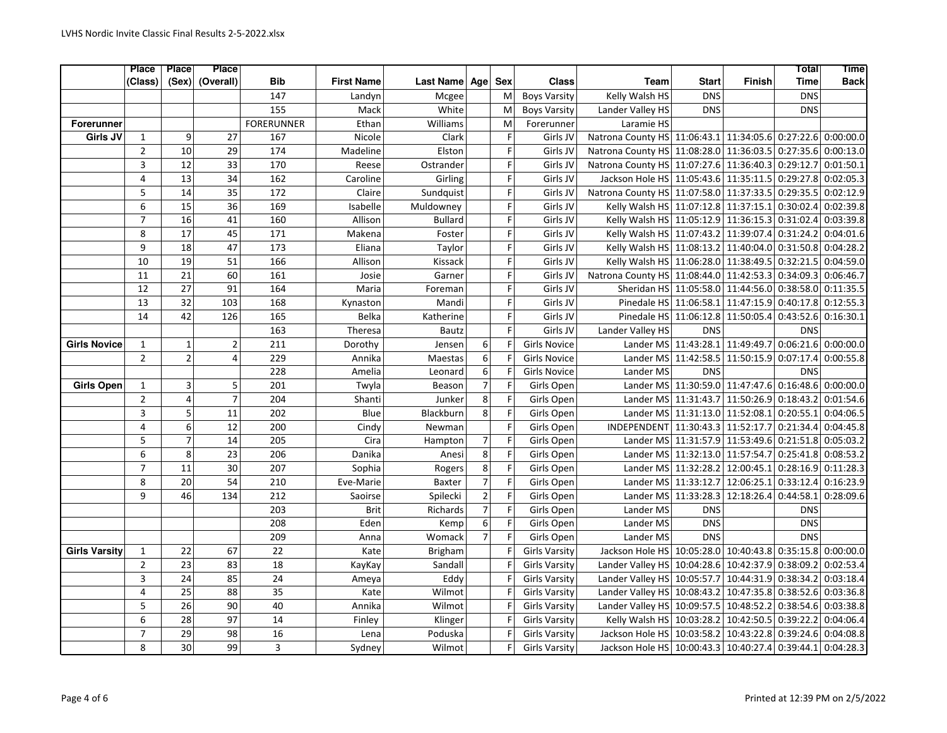|                      | <b>Place</b>   | <b>Place</b>    | <b>Place</b>    |                   |                   |                |                |             |                      |                                                           |                                           |                                 | Total       | <b>Time</b> |
|----------------------|----------------|-----------------|-----------------|-------------------|-------------------|----------------|----------------|-------------|----------------------|-----------------------------------------------------------|-------------------------------------------|---------------------------------|-------------|-------------|
|                      | (Class)        |                 | (Sex) (Overall) | Bib               | <b>First Name</b> | Last Name Age  |                | <b>Sex</b>  | <b>Class</b>         | <b>Team</b>                                               | <b>Start</b>                              | <b>Finish</b>                   | <b>Time</b> | <b>Back</b> |
|                      |                |                 |                 | 147               | Landyn            | Mcgee          |                | M           | <b>Boys Varsity</b>  | Kelly Walsh HS                                            | <b>DNS</b>                                |                                 | <b>DNS</b>  |             |
|                      |                |                 |                 | 155               | Mack              | White          |                | M           | <b>Boys Varsity</b>  | Lander Valley HS                                          | <b>DNS</b>                                |                                 | DNS         |             |
| <b>Forerunner</b>    |                |                 |                 | <b>FORERUNNER</b> | Ethan             | Williams       |                | M           | Forerunner           | Laramie HS                                                |                                           |                                 |             |             |
| Girls JV             | $\mathbf{1}$   | 9               | 27              | 167               | Nicole            | Clark          |                | F           | Girls JV             | Natrona County HS 11:06:43.1 11:34:05.6 0:27:22.6         |                                           |                                 |             | 0:00:00.0   |
|                      | $\overline{2}$ | 10              | 29              | 174               | Madeline          | Elston         |                | F           | Girls JV             | Natrona County HS 11:08:28.0 11:36:03.5 0:27:35.6         |                                           |                                 |             | 0:00:13.0   |
|                      | 3              | 12              | 33              | 170               | Reese             | Ostrander      |                | F           | Girls JV             | Natrona County HS 11:07:27.6 11:36:40.3 0:29:12.7         |                                           |                                 |             | 0:01:50.1   |
|                      | $\overline{4}$ | 13              | 34              | 162               | Caroline          | Girling        |                | F           | Girls JV             | Jackson Hole HS 11:05:43.6 11:35:11.5 0:29:27.8           |                                           |                                 |             | 0:02:05.3   |
|                      | 5              | 14              | 35              | 172               | Claire            | Sundquist      |                | F           | Girls JV             | Natrona County HS 11:07:58.0 11:37:33.5 0:29:35.5         |                                           |                                 |             | 0:02:12.9   |
|                      | 6              | 15              | 36              | 169               | Isabelle          | Muldowney      |                | F           | Girls JV             | Kelly Walsh HS 11:07:12.8 11:37:15.1 0:30:02.4            |                                           |                                 |             | 0:02:39.8   |
|                      | $\overline{7}$ | $\overline{16}$ | $\overline{41}$ | 160               | Allison           | <b>Bullard</b> |                | F           | Girls JV             | Kelly Walsh HS 11:05:12.9 11:36:15.3 0:31:02.4            |                                           |                                 |             | 0:03:39.8   |
|                      | 8              | $\overline{17}$ | 45              | 171               | Makena            | Foster         |                | F           | Girls JV             | Kelly Walsh HS 11:07:43.2 11:39:07.4 0:31:24.2            |                                           |                                 |             | 0:04:01.6   |
|                      | 9              | 18              | 47              | 173               | Eliana            | Taylor         |                | F           | Girls JV             | Kelly Walsh HS 11:08:13.2 11:40:04.0 0:31:50.8            |                                           |                                 |             | 0:04:28.2   |
|                      | 10             | $\overline{19}$ | $\overline{51}$ | 166               | Allison           | Kissack        |                | F           | Girls JV             | Kelly Walsh HS 11:06:28.0 11:38:49.5 0:32:21.5            |                                           |                                 |             | 0:04:59.0   |
|                      | 11             | $\overline{21}$ | 60              | 161               | Josie             | Garner         |                | F           | Girls JV             | Natrona County HS 11:08:44.0 11:42:53.3 0:34:09.3         |                                           |                                 |             | 0:06:46.7   |
|                      | 12             | 27              | 91              | 164               | Maria             | Foreman        |                | F           | Girls JV             | Sheridan HS 11:05:58.0 11:44:56.0 0:38:58.0               |                                           |                                 |             | 0:11:35.5   |
|                      | 13             | 32              | 103             | 168               | Kynaston          | Mandi          |                | F           | Girls JV             | Pinedale HS 11:06:58.1 11:47:15.9 0:40:17.8               |                                           |                                 |             | 0:12:55.3   |
|                      | 14             | 42              | 126             | 165               | Belka             | Katherine      |                | $\mathsf F$ | Girls JV             | Pinedale HS 11:06:12.8 11:50:05.4 0:43:52.6               |                                           |                                 |             | 0:16:30.1   |
|                      |                |                 |                 | 163               | Theresa           | <b>Bautz</b>   |                | F           | Girls JV             | Lander Valley HS                                          | <b>DNS</b>                                |                                 | <b>DNS</b>  |             |
| <b>Girls Novice</b>  | $1\,$          | $1\vert$        | $\overline{2}$  | 211               | Dorothy           | Jensen         | 6              | F           | <b>Girls Novice</b>  |                                                           | Lander MS 11:43:28.1                      | 11:49:49.7 0:06:21.6            |             | 0:00:00.0   |
|                      | $\overline{2}$ | $2 \vert$       | $\overline{4}$  | 229               | Annika            | Maestas        | 6              | F           | <b>Girls Novice</b>  | Lander MS                                                 | 11:42:58.5                                | 11:50:15.9 0:07:17.4            |             | 0:00:55.8   |
|                      |                |                 |                 | 228               | Amelia            | Leonard        | 6              | F           | <b>Girls Novice</b>  | Lander MS                                                 | <b>DNS</b>                                |                                 | <b>DNS</b>  |             |
| <b>Girls Open</b>    | $\mathbf{1}$   | 3 <sup>1</sup>  | 5               | 201               | Twyla             | Beason         | $\overline{7}$ | F           | Girls Open           | Lander MS                                                 | 11:30:59.0 11:47:47.6 0:16:48.6           |                                 |             | 0:00:00.0   |
|                      | $\overline{2}$ | $\overline{4}$  | $\overline{7}$  | 204               | Shanti            | Junker         | 8              | F           | Girls Open           |                                                           | Lander MS 11:31:43.7 11:50:26.9 0:18:43.2 |                                 |             | 0:01:54.6   |
|                      | $\overline{3}$ | $\overline{5}$  | $\overline{11}$ | 202               | Blue              | Blackburn      | 8              | F           | Girls Open           | Lander MS                                                 |                                           | 11:31:13.0 11:52:08.1           | 0:20:55.1   | 0:04:06.5   |
|                      | $\overline{4}$ | $\overline{6}$  | $\overline{12}$ | 200               | Cindy             | Newman         |                | F           | Girls Open           | <b>INDEPENDENT</b>                                        |                                           | 11:30:43.3 11:52:17.7 0:21:34.4 |             | 0:04:45.8   |
|                      | 5              | $\overline{7}$  | 14              | 205               | Cira              | Hampton        | $\overline{7}$ | F           | Girls Open           |                                                           | Lander MS 11:31:57.9 11:53:49.6 0:21:51.8 |                                 |             | 0:05:03.2   |
|                      | 6              | 8               | $\overline{23}$ | 206               | Danika            | Anesi          | 8              | F           | Girls Open           |                                                           | Lander MS 11:32:13.0 11:57:54.7 0:25:41.8 |                                 |             | 0:08:53.2   |
|                      | $\overline{7}$ | 11              | $\overline{30}$ | 207               | Sophia            | Rogers         | 8              | F           | Girls Open           |                                                           | Lander MS 11:32:28.2 12:00:45.1           |                                 | 0:28:16.9   | 0:11:28.3   |
|                      | 8              | 20              | 54              | 210               | Eve-Marie         | <b>Baxter</b>  | $\overline{7}$ | F           | Girls Open           |                                                           | Lander MS 11:33:12.7 12:06:25.1 0:33:12.4 |                                 |             | 0:16:23.9   |
|                      | 9              | 46              | 134             | 212               | Saoirse           | Spilecki       | $\overline{2}$ | F           | Girls Open           |                                                           | Lander MS 11:33:28.3                      | 12:18:26.4 0:44:58.1            |             | 0:28:09.6   |
|                      |                |                 |                 | 203               | <b>Brit</b>       | Richards       | $\overline{7}$ | F           | Girls Open           | Lander MS                                                 | <b>DNS</b>                                |                                 | <b>DNS</b>  |             |
|                      |                |                 |                 | 208               | Eden              | Kemp           | 6              | F           | Girls Open           | Lander MS                                                 | <b>DNS</b>                                |                                 | <b>DNS</b>  |             |
|                      |                |                 |                 | 209               | Anna              | Womack         | $\overline{7}$ | F           | Girls Open           | Lander MS                                                 | <b>DNS</b>                                |                                 | <b>DNS</b>  |             |
| <b>Girls Varsity</b> | $\mathbf 1$    | 22              | 67              | 22                | Kate              | <b>Brigham</b> |                | F           | <b>Girls Varsity</b> | Jackson Hole HS 10:05:28.0 10:40:43.8 0:35:15.8 0:00:00.0 |                                           |                                 |             |             |
|                      | $\overline{2}$ | $\overline{23}$ | 83              | 18                | KayKay            | Sandall        |                | F           | <b>Girls Varsity</b> | Lander Valley HS 10:04:28.6 10:42:37.9 0:38:09.2          |                                           |                                 |             | 0:02:53.4   |
|                      | 3              | $\overline{24}$ | 85              | 24                | Ameya             | Eddy           |                | F           | <b>Girls Varsity</b> | Lander Valley HS 10:05:57.7 10:44:31.9 0:38:34.2          |                                           |                                 |             | 0:03:18.4   |
|                      | 4              | $\overline{25}$ | 88              | 35                | Kate              | Wilmot         |                | F           | <b>Girls Varsity</b> | Lander Valley HS 10:08:43.2 10:47:35.8 0:38:52.6          |                                           |                                 |             | 0:03:36.8   |
|                      | 5              | 26              | 90              | 40                | Annika            | Wilmot         |                | F           | <b>Girls Varsity</b> | Lander Valley HS 10:09:57.5 10:48:52.2 0:38:54.6          |                                           |                                 |             | 0:03:38.8   |
|                      | 6              | 28              | 97              | 14                | Finley            | Klinger        |                | F           | <b>Girls Varsity</b> | Kelly Walsh HS 10:03:28.2                                 |                                           | 10:42:50.5 0:39:22.2            |             | 0:04:06.4   |
|                      | $\overline{7}$ | 29              | 98              | 16                | Lena              | Poduska        |                | F           | <b>Girls Varsity</b> | Jackson Hole HS 10:03:58.2 10:43:22.8 0:39:24.6           |                                           |                                 |             | 0:04:08.8   |
|                      | 8              | 30              | 99              | $\overline{3}$    | Sydney            | Wilmot         |                | F           | <b>Girls Varsity</b> | Jackson Hole HS 10:00:43.3 10:40:27.4 0:39:44.1 0:04:28.3 |                                           |                                 |             |             |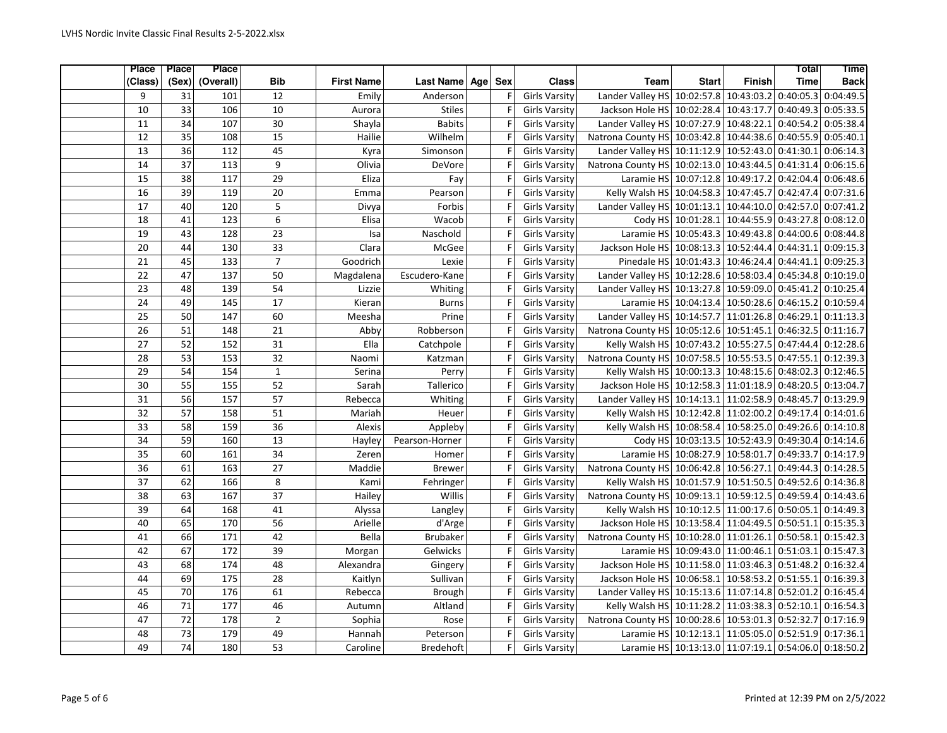| <b>Place</b> | <b>Place</b>    | <b>Place</b>     |                 |                   |                  |     |                      |                                                             |                                                      |                      | Total       | <b>Time</b> |
|--------------|-----------------|------------------|-----------------|-------------------|------------------|-----|----------------------|-------------------------------------------------------------|------------------------------------------------------|----------------------|-------------|-------------|
| (Class)      | (Sex)           | (Overall)        | Bib             | <b>First Name</b> | Last Name Age    | Sex | <b>Class</b>         | <b>Team</b>                                                 | <b>Start</b>                                         | <b>Finish</b>        | <b>Time</b> | <b>Back</b> |
| 9            | 31              | 101              | 12              | Emily             | Anderson         | F   | <b>Girls Varsity</b> | Lander Valley HS 10:02:57.8 10:43:03.2 0:40:05.3            |                                                      |                      |             | 0:04:49.5   |
| 10           | 33              | 106              | 10              | Aurora            | <b>Stiles</b>    | F   | <b>Girls Varsity</b> | Jackson Hole HS 10:02:28.4 10:43:17.7 0:40:49.3             |                                                      |                      |             | 0:05:33.5   |
| 11           | 34              | 107              | 30              | Shayla            | <b>Babits</b>    | F   | <b>Girls Varsity</b> | Lander Valley HS 10:07:27.9 10:48:22.1 0:40:54.2            |                                                      |                      |             | 0:05:38.4   |
| 12           | 35              | 108              | 15              | Hailie            | Wilhelm          | F   | <b>Girls Varsity</b> | Natrona County HS 10:03:42.8 10:44:38.6 0:40:55.9           |                                                      |                      |             | 0:05:40.1   |
| 13           | 36              | 112              | 45              | Kyra              | Simonson         | F   | <b>Girls Varsity</b> | Lander Valley HS 10:11:12.9 10:52:43.0 0:41:30.1            |                                                      |                      |             | 0:06:14.3   |
| 14           | $\overline{37}$ | 113              | 9               | Olivia            | DeVore           | F   | <b>Girls Varsity</b> | Natrona County HS 10:02:13.0 10:43:44.5 0:41:31.4           |                                                      |                      |             | 0:06:15.6   |
| 15           | 38              | 117              | 29              | Eliza             | Fay              | F   | <b>Girls Varsity</b> |                                                             | Laramie HS 10:07:12.8 10:49:17.2 0:42:04.4           |                      |             | 0:06:48.6   |
| 16           | 39              | 119              | 20              | Emma              | Pearson          | F   | <b>Girls Varsity</b> | Kelly Walsh HS 10:04:58.3 10:47:45.7                        |                                                      |                      | 0:42:47.4   | 0:07:31.6   |
| 17           | 40              | 120              | 5               | Divya             | Forbis           | F   | <b>Girls Varsity</b> | Lander Valley HS 10:01:13.1                                 |                                                      | 10:44:10.0 0:42:57.0 |             | 0:07:41.2   |
| 18           | 41              | 123              | 6               | Elisa             | Wacob            | F   | <b>Girls Varsity</b> |                                                             | Cody HS 10:01:28.1 10:44:55.9 0:43:27.8              |                      |             | 0:08:12.0   |
| 19           | 43              | $\overline{128}$ | 23              | Isa               | Naschold         | F   | <b>Girls Varsity</b> |                                                             | Laramie HS 10:05:43.3 10:49:43.8 0:44:00.6           |                      |             | 0:08:44.8   |
| 20           | 44              | 130              | 33              | Clara             | McGee            | F   | <b>Girls Varsity</b> | Jackson Hole HS 10:08:13.3 10:52:44.4 0:44:31.1             |                                                      |                      |             | 0:09:15.3   |
| 21           | 45              | 133              | $\overline{7}$  | Goodrich          | Lexie            | F   | <b>Girls Varsity</b> | Pinedale HS 10:01:43.3 10:46:24.4 0:44:41.1                 |                                                      |                      |             | 0:09:25.3   |
| 22           | 47              | $\frac{137}{2}$  | 50              | Magdalena         | Escudero-Kane    | F   | <b>Girls Varsity</b> | Lander Valley HS 10:12:28.6 10:58:03.4 0:45:34.8 0:10:19.0  |                                                      |                      |             |             |
| 23           | 48              | 139              | 54              | Lizzie            | Whiting          | F   | <b>Girls Varsity</b> | Lander Valley HS 10:13:27.8 10:59:09.0 0:45:41.2            |                                                      |                      |             | 0:10:25.4   |
| 24           | 49              | 145              | 17              | Kieran            | <b>Burns</b>     | F   | <b>Girls Varsity</b> |                                                             | Laramie HS 10:04:13.4 10:50:28.6 0:46:15.2           |                      |             | 0:10:59.4   |
| 25           | 50              | 147              | 60              | Meesha            | Prine            | F   | <b>Girls Varsity</b> | Lander Valley HS 10:14:57.7 11:01:26.8 0:46:29.1            |                                                      |                      |             | 0:11:13.3   |
| 26           | 51              | 148              | 21              | Abby              | Robberson        | F   | <b>Girls Varsity</b> | Natrona County HS 10:05:12.6 10:51:45.1 0:46:32.5 0:11:16.7 |                                                      |                      |             |             |
| 27           | 52              | 152              | 31              | Ella              | Catchpole        | F   | <b>Girls Varsity</b> | Kelly Walsh HS 10:07:43.2 10:55:27.5 0:47:44.4              |                                                      |                      |             | 0:12:28.6   |
| 28           | 53              | 153              | 32              | Naomi             | Katzman          | F   | <b>Girls Varsity</b> | Natrona County HS 10:07:58.5 10:55:53.5 0:47:55.1           |                                                      |                      |             | 0:12:39.3   |
| 29           | 54              | 154              | $\mathbf 1$     | Serina            | Perry            | F   | <b>Girls Varsity</b> | Kelly Walsh HS 10:00:13.3 10:48:15.6 0:48:02.3 0:12:46.5    |                                                      |                      |             |             |
| 30           | 55              | 155              | 52              | Sarah             | Tallerico        | F   | <b>Girls Varsity</b> | Jackson Hole HS 10:12:58.3 11:01:18.9 0:48:20.5             |                                                      |                      |             | 0:13:04.7   |
| 31           | 56              | 157              | 57              | Rebecca           | Whiting          | F   | <b>Girls Varsity</b> | Lander Valley HS 10:14:13.1 11:02:58.9 0:48:45.7            |                                                      |                      |             | 0:13:29.9   |
| 32           | $\overline{57}$ | 158              | 51              | Mariah            | Heuer            | F   | <b>Girls Varsity</b> | Kelly Walsh HS 10:12:42.8 11:02:00.2 0:49:17.4              |                                                      |                      |             | 0:14:01.6   |
| 33           | 58              | 159              | $\overline{36}$ | Alexis            | Appleby          | F   | <b>Girls Varsity</b> | Kelly Walsh HS 10:08:58.4 10:58:25.0 0:49:26.6              |                                                      |                      |             | 0:14:10.8   |
| 34           | 59              | 160              | 13              | Hayley            | Pearson-Horner   | F   | <b>Girls Varsity</b> |                                                             | Cody HS 10:03:13.5 10:52:43.9 0:49:30.4              |                      |             | 0:14:14.6   |
| 35           | 60              | 161              | 34              | Zeren             | Homer            | F   | <b>Girls Varsity</b> |                                                             | Laramie HS 10:08:27.9 10:58:01.7 0:49:33.7           |                      |             | 0:14:17.9   |
| 36           | 61              | 163              | 27              | Maddie            | <b>Brewer</b>    | F   | <b>Girls Varsity</b> | Natrona County HS 10:06:42.8 10:56:27.1                     |                                                      |                      | 0:49:44.3   | 0:14:28.5   |
| 37           | 62              | 166              | $\overline{8}$  | Kami              | Fehringer        | F   | <b>Girls Varsity</b> | Kelly Walsh HS 10:01:57.9 10:51:50.5 0:49:52.6              |                                                      |                      |             | 0:14:36.8   |
| 38           | 63              | 167              | 37              | Hailey            | Willis           | F   | <b>Girls Varsity</b> | Natrona County HS 10:09:13.1 10:59:12.5 0:49:59.4           |                                                      |                      |             | 0:14:43.6   |
| 39           | 64              | 168              | 41              | Alyssa            | Langley          | F   | <b>Girls Varsity</b> | Kelly Walsh HS 10:10:12.5 11:00:17.6 0:50:05.1              |                                                      |                      |             | 0:14:49.3   |
| 40           | 65              | 170              | 56              | Arielle           | d'Arge           | F   | <b>Girls Varsity</b> | Jackson Hole HS 10:13:58.4 11:04:49.5 0:50:51.1             |                                                      |                      |             | 0:15:35.3   |
| 41           | 66              | 171              | 42              | Bella             | <b>Brubaker</b>  | F   | <b>Girls Varsity</b> | Natrona County HS 10:10:28.0 11:01:26.1 0:50:58.1           |                                                      |                      |             | 0:15:42.3   |
| 42           | 67              | 172              | 39              | Morgan            | Gelwicks         | F   | <b>Girls Varsity</b> |                                                             | Laramie HS 10:09:43.0 11:00:46.1 0:51:03.1           |                      |             | 0:15:47.3   |
| 43           | 68              | 174              | 48              | Alexandra         | Gingery          | F   | <b>Girls Varsity</b> | Jackson Hole HS 10:11:58.0 11:03:46.3 0:51:48.2             |                                                      |                      |             | 0:16:32.4   |
| 44           | 69              | 175              | 28              | Kaitlyn           | Sullivan         | F   | <b>Girls Varsity</b> | Jackson Hole HS 10:06:58.1 10:58:53.2 0:51:55.1             |                                                      |                      |             | 0:16:39.3   |
| 45           | 70              | 176              | 61              | Rebecca           | <b>Brough</b>    | F   | <b>Girls Varsity</b> | Lander Valley HS 10:15:13.6 11:07:14.8 0:52:01.2            |                                                      |                      |             | 0:16:45.4   |
| 46           | 71              | 177              | 46              | Autumn            | Altland          | F   | <b>Girls Varsity</b> | Kelly Walsh HS 10:11:28.2 11:03:38.3 0:52:10.1              |                                                      |                      |             | 0:16:54.3   |
| 47           | 72              | 178              | $\overline{2}$  | Sophia            | Rose             | F   | <b>Girls Varsity</b> | Natrona County HS 10:00:28.6 10:53:01.3 0:52:32.7           |                                                      |                      |             | 0:17:16.9   |
| 48           | 73              | 179              | 49              | Hannah            | Peterson         | F   | <b>Girls Varsity</b> |                                                             | Laramie HS 10:12:13.1 11:05:05.0 0:52:51.9 0:17:36.1 |                      |             |             |
| 49           | $\overline{74}$ | 180              | 53              | Caroline          | <b>Bredehoft</b> | F   | <b>Girls Varsity</b> |                                                             | Laramie HS 10:13:13.0 11:07:19.1 0:54:06.0 0:18:50.2 |                      |             |             |